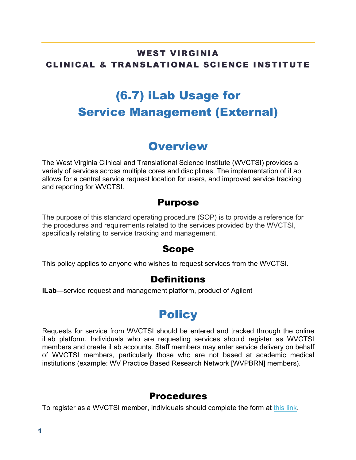#### WEST VIRGINIA CLINICAL & TRANSLATIONAL SCIENCE INSTITUTE

# (6.7) iLab Usage for Service Management (External)

## **Overview**

The West Virginia Clinical and Translational Science Institute (WVCTSI) provides a variety of services across multiple cores and disciplines. The implementation of iLab allows for a central service request location for users, and improved service tracking and reporting for WVCTSI.

#### Purpose

The purpose of this standard operating procedure (SOP) is to provide a reference for the procedures and requirements related to the services provided by the WVCTSI, specifically relating to service tracking and management.

#### Scope

This policy applies to anyone who wishes to request services from the WVCTSI.

### **Definitions**

**iLab—**service request and management platform, product of Agilent

## **Policy**

Requests for service from WVCTSI should be entered and tracked through the online iLab platform. Individuals who are requesting services should register as WVCTSI members and create iLab accounts. Staff members may enter service delivery on behalf of WVCTSI members, particularly those who are not based at academic medical institutions (example: WV Practice Based Research Network [WVPBRN] members).

### Procedures

To register as a WVCTSI member, individuals should complete the form at this link.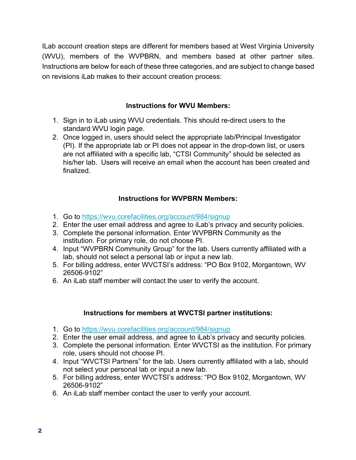ILab account creation steps are different for members based at West Virginia University (WVU), members of the WVPBRN, and members based at other partner sites. Instructions are below for each of these three categories, and are subject to change based on revisions iLab makes to their account creation process:

#### **Instructions for WVU Members:**

- 1. Sign in to iLab using WVU credentials. This should re-direct users to the standard WVU login page.
- 2. Once logged in, users should select the appropriate lab/Principal Investigator (PI). If the appropriate lab or PI does not appear in the drop-down list, or users are not affiliated with a specific lab, "CTSI Community" should be selected as his/her lab. Users will receive an email when the account has been created and finalized.

#### **Instructions for WVPBRN Members:**

- 1. Go to https://wvu.corefacilities.org/account/984/signup
- 2. Enter the user email address and agree to iLab's privacy and security policies.
- 3. Complete the personal information. Enter WVPBRN Community as the institution. For primary role, do not choose PI.
- 4. Input "WVPBRN Community Group" for the lab. Users currently affiliated with a lab, should not select a personal lab or input a new lab.
- 5. For billing address, enter WVCTSI's address: "PO Box 9102, Morgantown, WV 26506-9102"
- 6. An iLab staff member will contact the user to verify the account.

#### **Instructions for members at WVCTSI partner institutions:**

- 1. Go to https://wvu.corefacilities.org/account/984/signup
- 2. Enter the user email address, and agree to iLab's privacy and security policies.
- 3. Complete the personal information. Enter WVCTSI as the institution. For primary role, users should not choose PI.
- 4. Input "WVCTSI Partners" for the lab. Users currently affiliated with a lab, should not select your personal lab or input a new lab.
- 5. For billing address, enter WVCTSI's address: "PO Box 9102, Morgantown, WV 26506-9102"
- 6. An iLab staff member contact the user to verify your account.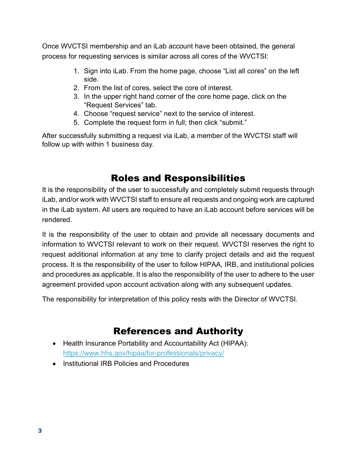Once WVCTSI membership and an iLab account have been obtained, the general process for requesting services is similar across all cores of the WVCTSI:

- 1. Sign into iLab. From the home page, choose "List all cores" on the left side.
- 2. From the list of cores, select the core of interest.
- 3. In the upper right hand corner of the core home page, click on the "Request Services" tab.
- 4. Choose "request service" next to the service of interest.
- 5. Complete the request form in full; then click "submit."

After successfully submitting a request via iLab, a member of the WVCTSI staff will follow up with within 1 business day.

### Roles and Responsibilities

It is the responsibility of the user to successfully and completely submit requests through iLab, and/or work with WVCTSI staff to ensure all requests and ongoing work are captured in the iLab system. All users are required to have an iLab account before services will be rendered.

It is the responsibility of the user to obtain and provide all necessary documents and information to WVCTSI relevant to work on their request. WVCTSI reserves the right to request additional information at any time to clarify project details and aid the request process. It is the responsibility of the user to follow HIPAA, IRB, and institutional policies and procedures as applicable. It is also the responsibility of the user to adhere to the user agreement provided upon account activation along with any subsequent updates.

The responsibility for interpretation of this policy rests with the Director of WVCTSI.

### References and Authority

- Health Insurance Portability and Accountability Act (HIPAA): https://www.hhs.gov/hipaa/for-professionals/privacy/
- Institutional IRB Policies and Procedures